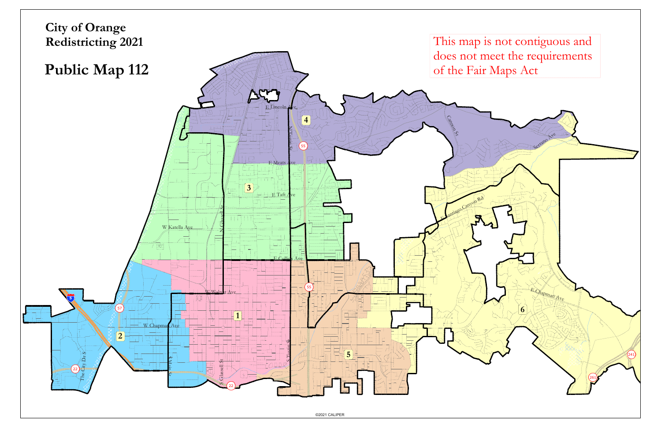